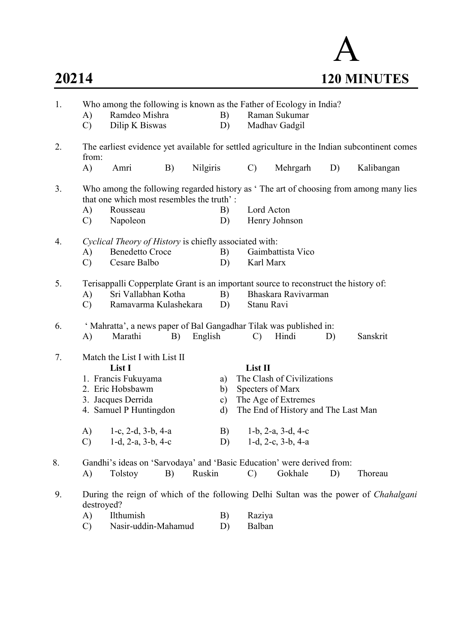# A 20214 120 MINUTES

| 1. | A)<br>$\mathcal{C}$ | Who among the following is known as the Father of Ecology in India?<br>Ramdeo Mishra<br>Dilip K Biswas                             |    |          | B)<br>D)  |                  | Raman Sukumar<br>Madhav Gadgil      |    |            |  |
|----|---------------------|------------------------------------------------------------------------------------------------------------------------------------|----|----------|-----------|------------------|-------------------------------------|----|------------|--|
| 2. | from:               | The earliest evidence yet available for settled agriculture in the Indian subcontinent comes                                       |    |          |           |                  |                                     |    |            |  |
|    | A)                  | Amri                                                                                                                               | B) | Nilgiris |           | $\mathbf{C}$     | Mehrgarh                            | D) | Kalibangan |  |
| 3. |                     | Who among the following regarded history as 'The art of choosing from among many lies<br>that one which most resembles the truth': |    |          |           |                  |                                     |    |            |  |
|    | A)<br>$\mathcal{C}$ | Rousseau<br>Napoleon                                                                                                               |    |          | B)<br>D)  | Lord Acton       | Henry Johnson                       |    |            |  |
| 4. |                     | Cyclical Theory of History is chiefly associated with:                                                                             |    |          |           |                  |                                     |    |            |  |
|    | A)                  | <b>Benedetto Croce</b>                                                                                                             |    |          | B)        |                  | Gaimbattista Vico                   |    |            |  |
|    | $\mathcal{C}$       | Cesare Balbo                                                                                                                       |    |          | D)        | Karl Marx        |                                     |    |            |  |
| 5. |                     | Terisappalli Copperplate Grant is an important source to reconstruct the history of:                                               |    |          |           |                  |                                     |    |            |  |
|    | A)                  | Sri Vallabhan Kotha                                                                                                                |    |          | B)        |                  | Bhaskara Ravivarman                 |    |            |  |
|    | $\mathcal{C}$       | Ramavarma Kulashekara                                                                                                              |    |          | D)        | Stanu Ravi       |                                     |    |            |  |
| 6. |                     | ' Mahratta', a news paper of Bal Gangadhar Tilak was published in:                                                                 |    |          |           |                  |                                     |    |            |  |
|    | A)                  | Marathi                                                                                                                            | B) | English  |           | $\mathbf{C}$     | Hindi                               | D) | Sanskrit   |  |
| 7. |                     | Match the List I with List II                                                                                                      |    |          |           |                  |                                     |    |            |  |
|    |                     | List I                                                                                                                             |    |          |           | List II          |                                     |    |            |  |
|    |                     | 1. Francis Fukuyama                                                                                                                |    |          | a)        |                  | The Clash of Civilizations          |    |            |  |
|    |                     | 2. Eric Hobsbawm                                                                                                                   |    |          | b)        | Specters of Marx |                                     |    |            |  |
|    |                     | 3. Jacques Derrida                                                                                                                 |    |          | $\circ$ ) |                  | The Age of Extremes                 |    |            |  |
|    |                     | 4. Samuel P Huntingdon                                                                                                             |    |          | d)        |                  | The End of History and The Last Man |    |            |  |
|    | A)                  | 1-c, $2-d$ , $3-b$ , $4-a$                                                                                                         |    |          | B)        |                  | $1-b$ , $2-a$ , $3-d$ , $4-c$       |    |            |  |
|    | $\mathcal{C}$       | 1-d, 2-a, $3-b$ , 4-c                                                                                                              |    |          | D)        |                  | 1-d, 2-c, $3-b$ , $4-a$             |    |            |  |
| 8. |                     | Gandhi's ideas on 'Sarvodaya' and 'Basic Education' were derived from:                                                             |    |          |           |                  |                                     |    |            |  |
|    | A)                  | Tolstoy                                                                                                                            | B) | Ruskin   |           | $\mathcal{C}$    | Gokhale                             | D) | Thoreau    |  |
| 9. | destroyed?          | During the reign of which of the following Delhi Sultan was the power of Chahalgani                                                |    |          |           |                  |                                     |    |            |  |
|    | A)                  | Ilthumish                                                                                                                          |    |          | B)        | Raziya           |                                     |    |            |  |
|    | $\mathcal{C}$       | Nasir-uddin-Mahamud                                                                                                                |    |          | D)        | Balban           |                                     |    |            |  |
|    |                     |                                                                                                                                    |    |          |           |                  |                                     |    |            |  |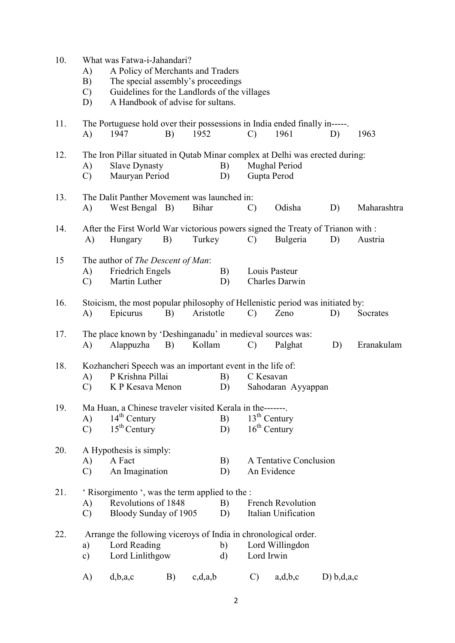| 10. | A)<br>B)<br>$\mathcal{C}$<br>D) | What was Fatwa-i-Jahandari?<br>A Policy of Merchants and Traders<br>The special assembly's proceedings<br>Guidelines for the Landlords of the villages<br>A Handbook of advise for sultans. |    |           |                    |                                  |                                                 |            |             |
|-----|---------------------------------|---------------------------------------------------------------------------------------------------------------------------------------------------------------------------------------------|----|-----------|--------------------|----------------------------------|-------------------------------------------------|------------|-------------|
| 11. | A)                              | The Portuguese hold over their possessions in India ended finally in-----.<br>1947                                                                                                          | B) | 1952      |                    | $\mathcal{C}$                    | 1961                                            | D)         | 1963        |
| 12. | A)<br>$\mathcal{C}$             | The Iron Pillar situated in Qutab Minar complex at Delhi was erected during:<br><b>Slave Dynasty</b><br>Mauryan Period                                                                      |    |           | B)<br>D)           | Gupta Perod                      | <b>Mughal Period</b>                            |            |             |
| 13. | A)                              | The Dalit Panther Movement was launched in:<br>West Bengal B)                                                                                                                               |    | Bihar     |                    | $\mathcal{C}$                    | Odisha                                          | D)         | Maharashtra |
| 14. | A)                              | After the First World War victorious powers signed the Treaty of Trianon with :<br>Hungary                                                                                                  | B) | Turkey    |                    | $\mathcal{C}$                    | Bulgeria                                        | D)         | Austria     |
| 15  | A)<br>$\mathcal{C}$             | The author of The Descent of Man:<br>Friedrich Engels<br>Martin Luther                                                                                                                      |    |           | B)<br>D)           |                                  | Louis Pasteur<br>Charles Darwin                 |            |             |
| 16. | A)                              | Stoicism, the most popular philosophy of Hellenistic period was initiated by:<br>Epicurus                                                                                                   | B) | Aristotle |                    | $\mathcal{C}$                    | Zeno                                            | D)         | Socrates    |
| 17. | A)                              | The place known by 'Deshinganadu' in medieval sources was:<br>Alappuzha                                                                                                                     | B) | Kollam    |                    | $\mathcal{C}$                    | Palghat                                         | D)         | Eranakulam  |
| 18. | A)<br>$\mathcal{C}$             | Kozhancheri Speech was an important event in the life of:<br>P Krishna Pillai<br>K P Kesava Menon                                                                                           |    |           | B)<br>D)           | C Kesavan                        | Sahodaran Ayyappan                              |            |             |
| 19. | $\bf{A}$<br>$\mathcal{C}$       | Ma Huan, a Chinese traveler visited Kerala in the-------.<br>$14th$ Century<br>$15th$ Century                                                                                               |    |           | B)<br>D)           | $13th$ Century<br>$16th$ Century |                                                 |            |             |
| 20. | A)<br>$\mathcal{C}$             | A Hypothesis is simply:<br>A Fact<br>An Imagination                                                                                                                                         |    |           | B)<br>D)           | An Evidence                      | A Tentative Conclusion                          |            |             |
| 21. | A)<br>$\mathcal{C}$             | ' Risorgimento ', was the term applied to the :<br>Revolutions of 1848<br>Bloody Sunday of 1905                                                                                             |    |           | B)<br>D)           |                                  | <b>French Revolution</b><br>Italian Unification |            |             |
| 22. | a)<br>c)                        | Arrange the following viceroys of India in chronological order.<br>Lord Reading<br>Lord Linlithgow                                                                                          |    |           | b)<br>$\mathbf{d}$ | Lord Irwin                       | Lord Willingdon                                 |            |             |
|     | A)                              | d,b,a,c                                                                                                                                                                                     | B) | c,d,a,b   |                    | $\mathcal{C}$                    | a,d,b,c                                         | D) b,d,a,c |             |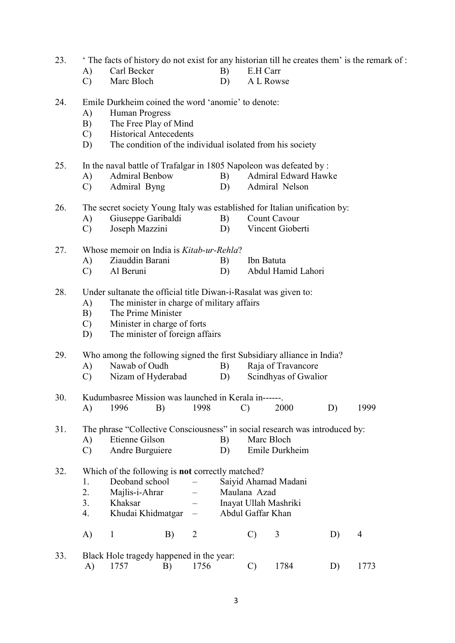23. ' The facts of history do not exist for any historian till he creates them' is the remark of :

- A) Carl Becker B) E.H Carr<br>
C) Marc Bloch D) A L Row
- Marc Bloch D) A L Rowse

24. Emile Durkheim coined the word 'anomie' to denote:

- A) Human Progress
- B) The Free Play of Mind
- C) Historical Antecedents
- D) The condition of the individual isolated from his society
- 25. In the naval battle of Trafalgar in 1805 Napoleon was defeated by :
	- A) Admiral Benbow B) Admiral Edward Hawke
	- C) Admiral Byng D) Admiral Nelson
- 26. The secret society Young Italy was established for Italian unification by:
	- A) Giuseppe Garibaldi B) Count Cavour
	- C) Joseph Mazzini D) Vincent Gioberti

|  | 27. Whose memoir on India is <i>Kitab-ur-Rehla</i> ? |                       |
|--|------------------------------------------------------|-----------------------|
|  | A) Ziauddin Barani                                   | B) Ibn Batuta         |
|  | C) Al Beruni                                         | D) Abdul Hamid Lahori |

### 28. Under sultanate the official title Diwan-i-Rasalat was given to:

- A) The minister in charge of military affairs
- B) The Prime Minister
- C) Minister in charge of forts
- D) The minister of foreign affairs

# 29. Who among the following signed the first Subsidiary alliance in India?

- A) Nawab of Oudh B) Raja of Travancore
- C) Nizam of Hyderabad D) Scindhyas of Gwalior

 30. Kudumbasree Mission was launched in Kerala in------. A) 1996 B) 1998 C) 2000 D) 1999

31. The phrase "Collective Consciousness" in social research was introduced by:

- A) Etienne Gilson B) Marc Bloch
- C) Andre Burguiere D) Emile Durkheim

## 32. Which of the following is not correctly matched?

- 1. Deoband school Saiyid Ahamad Madani
- 2. Majlis-i-Ahrar Maulana Azad
- 3. Khaksar Inayat Ullah Mashriki
- 4. Khudai Khidmatgar Abdul Gaffar Khan
- A) 1 B) 2 C) 3 D) 4
- 33. Black Hole tragedy happened in the year: A) 1757 B) 1756 C) 1784 D) 1773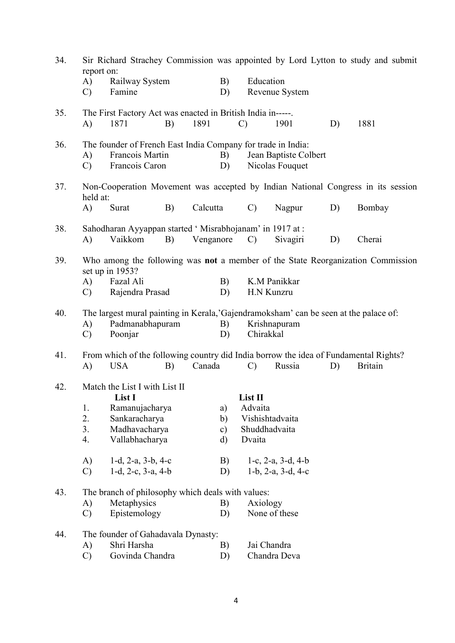| 34. |                                   |                                                                                                   |    |           |               |               |                                          |    | Sir Richard Strachey Commission was appointed by Lord Lytton to study and submit     |
|-----|-----------------------------------|---------------------------------------------------------------------------------------------------|----|-----------|---------------|---------------|------------------------------------------|----|--------------------------------------------------------------------------------------|
|     | report on:<br>A)<br>$\mathcal{C}$ | Railway System<br>Famine                                                                          |    |           | B)<br>D)      | Education     | Revenue System                           |    |                                                                                      |
| 35. |                                   | The First Factory Act was enacted in British India in-----.                                       |    |           |               |               |                                          |    |                                                                                      |
|     | A)                                | 1871                                                                                              | B) | 1891      |               | $\mathcal{C}$ | 1901                                     | D) | 1881                                                                                 |
| 36. | A)<br>$\mathcal{C}$               | The founder of French East India Company for trade in India:<br>Francois Martin<br>Francois Caron |    |           | B)<br>D)      |               | Jean Baptiste Colbert<br>Nicolas Fouquet |    |                                                                                      |
| 37. | held at:                          |                                                                                                   |    |           |               |               |                                          |    | Non-Cooperation Movement was accepted by Indian National Congress in its session     |
|     | A)                                | Surat                                                                                             | B) | Calcutta  |               | $\mathcal{C}$ | Nagpur                                   | D) | Bombay                                                                               |
| 38. |                                   | Sahodharan Ayyappan started 'Misrabhojanam' in 1917 at:                                           |    |           |               |               |                                          |    |                                                                                      |
|     | A)                                | Vaikkom                                                                                           | B) | Venganore |               | $\mathcal{C}$ | Sivagiri                                 | D) | Cherai                                                                               |
| 39. |                                   | set up in 1953?                                                                                   |    |           |               |               |                                          |    | Who among the following was not a member of the State Reorganization Commission      |
|     | A)                                | Fazal Ali                                                                                         |    |           | B)            |               | K.M Panikkar                             |    |                                                                                      |
|     | $\mathcal{C}$                     | Rajendra Prasad                                                                                   |    |           | D)            |               | H.N Kunzru                               |    |                                                                                      |
| 40. |                                   | The largest mural painting in Kerala, 'Gajendramoksham' can be seen at the palace of:             |    |           |               |               |                                          |    |                                                                                      |
|     | A)                                | Padmanabhapuram                                                                                   |    |           | B)            |               | Krishnapuram                             |    |                                                                                      |
|     | $\mathcal{C}$                     | Poonjar                                                                                           |    |           | D)            | Chirakkal     |                                          |    |                                                                                      |
| 41. |                                   |                                                                                                   |    |           |               |               |                                          |    | From which of the following country did India borrow the idea of Fundamental Rights? |
|     | A)                                | <b>USA</b>                                                                                        | B) | Canada    |               | $\mathcal{C}$ | Russia                                   | D) | <b>Britain</b>                                                                       |
| 42. |                                   | Match the List I with List II<br>List I                                                           |    |           |               | List II       |                                          |    |                                                                                      |
|     | 1.                                | Ramanujacharya                                                                                    |    |           | a)            | Advaita       |                                          |    |                                                                                      |
|     | 2.                                | Sankaracharya                                                                                     |    |           | $\mathbf{b}$  |               | Vishishtadvaita                          |    |                                                                                      |
|     | 3.                                | Madhavacharya                                                                                     |    |           | $\mathbf{c})$ |               | Shuddhadvaita                            |    |                                                                                      |
|     | 4.                                | Vallabhacharya                                                                                    |    |           | d)            | Dvaita        |                                          |    |                                                                                      |
|     | A)                                | $1-d$ , $2-a$ , $3-b$ , $4-c$                                                                     |    |           | B)            |               | $1-c$ , $2-a$ , $3-d$ , $4-b$            |    |                                                                                      |
|     | $\mathcal{C}$                     | $1-d$ , $2-c$ , $3-a$ , $4-b$                                                                     |    |           | D)            |               | $1-b$ , $2-a$ , $3-d$ , $4-c$            |    |                                                                                      |
| 43. |                                   | The branch of philosophy which deals with values:                                                 |    |           |               |               |                                          |    |                                                                                      |
|     | A)                                | Metaphysics                                                                                       |    |           | B)            | Axiology      |                                          |    |                                                                                      |
|     | $\mathcal{C}$                     | Epistemology                                                                                      |    |           | D)            |               | None of these                            |    |                                                                                      |
| 44. |                                   | The founder of Gahadavala Dynasty:                                                                |    |           |               |               |                                          |    |                                                                                      |
|     | A)                                | Shri Harsha                                                                                       |    |           | B)            |               | Jai Chandra                              |    |                                                                                      |
|     | $\mathcal{C}$                     | Govinda Chandra                                                                                   |    |           | D)            |               | Chandra Deva                             |    |                                                                                      |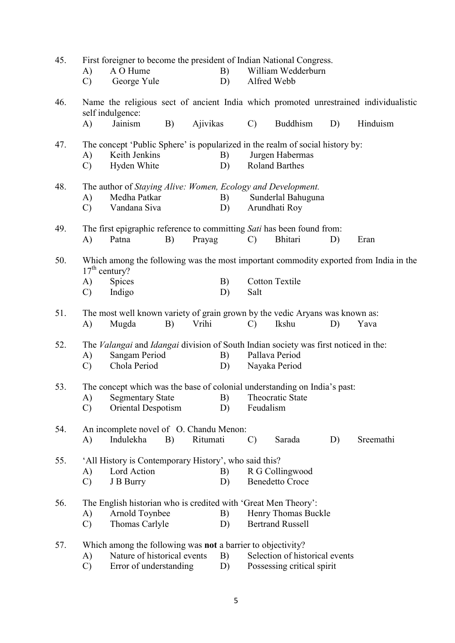| 45. |               | First foreigner to become the president of Indian National Congress.                |    |          |    |               |                                |    |                                                                                       |
|-----|---------------|-------------------------------------------------------------------------------------|----|----------|----|---------------|--------------------------------|----|---------------------------------------------------------------------------------------|
|     | A)            | A O Hume                                                                            |    |          | B) |               | William Wedderburn             |    |                                                                                       |
|     | $\mathbf{C}$  | George Yule                                                                         |    |          | D) |               | Alfred Webb                    |    |                                                                                       |
| 46. |               | self indulgence:                                                                    |    |          |    |               |                                |    | Name the religious sect of ancient India which promoted unrestrained individualistic  |
|     | A)            | Jainism                                                                             | B) | Ajivikas |    | $\mathcal{C}$ | <b>Buddhism</b>                | D) | Hinduism                                                                              |
| 47. |               | The concept 'Public Sphere' is popularized in the realm of social history by:       |    |          |    |               |                                |    |                                                                                       |
|     | A)            | Keith Jenkins                                                                       |    |          | B) |               | Jurgen Habermas                |    |                                                                                       |
|     | $\mathcal{C}$ | Hyden White                                                                         |    |          | D) |               | <b>Roland Barthes</b>          |    |                                                                                       |
| 48. |               | The author of Staying Alive: Women, Ecology and Development.                        |    |          |    |               |                                |    |                                                                                       |
|     | A)            | Medha Patkar                                                                        |    |          | B) |               | Sunderlal Bahuguna             |    |                                                                                       |
|     | $\mathcal{C}$ | Vandana Siva                                                                        |    |          | D) |               | Arundhati Roy                  |    |                                                                                       |
| 49. |               | The first epigraphic reference to committing Sati has been found from:              |    |          |    |               |                                |    |                                                                                       |
|     | A)            | Patna                                                                               | B) | Prayag   |    | $\mathcal{C}$ | Bhitari                        | D) | Eran                                                                                  |
| 50. |               | $17th$ century?                                                                     |    |          |    |               |                                |    | Which among the following was the most important commodity exported from India in the |
|     | A)            | Spices                                                                              |    |          | B) |               | Cotton Textile                 |    |                                                                                       |
|     | $\mathcal{C}$ | Indigo                                                                              |    |          | D) | Salt          |                                |    |                                                                                       |
| 51. |               | The most well known variety of grain grown by the vedic Aryans was known as:        |    |          |    |               |                                |    |                                                                                       |
|     | A)            | Mugda                                                                               | B) | Vrihi    |    | $\mathcal{C}$ | Ikshu                          | D) | Yava                                                                                  |
| 52. |               | The Valangai and Idangai division of South Indian society was first noticed in the: |    |          |    |               |                                |    |                                                                                       |
|     | A)            | Sangam Period                                                                       |    |          | B) |               | Pallava Period                 |    |                                                                                       |
|     | $\mathbf{C}$  | Chola Period                                                                        |    |          | D) |               | Nayaka Period                  |    |                                                                                       |
| 53. |               | The concept which was the base of colonial understanding on India's past:           |    |          |    |               |                                |    |                                                                                       |
|     |               | A) Segmentary State B)                                                              |    |          |    |               | Theocratic State               |    |                                                                                       |
|     | $\mathcal{C}$ | Oriental Despotism                                                                  |    |          | D) | Feudalism     |                                |    |                                                                                       |
| 54. |               | An incomplete novel of O. Chandu Menon:                                             |    |          |    |               |                                |    |                                                                                       |
|     | A)            | Indulekha                                                                           | B) | Ritumati |    | $\mathcal{C}$ | Sarada                         | D) | Sreemathi                                                                             |
| 55. |               | 'All History is Contemporary History', who said this?                               |    |          |    |               |                                |    |                                                                                       |
|     | A)            | Lord Action                                                                         |    |          | B) |               | R G Collingwood                |    |                                                                                       |
|     | $\mathcal{C}$ | J B Burry                                                                           |    |          | D) |               | <b>Benedetto Croce</b>         |    |                                                                                       |
| 56. |               | The English historian who is credited with 'Great Men Theory':                      |    |          |    |               |                                |    |                                                                                       |
|     | A)            | Arnold Toynbee                                                                      |    |          | B) |               | Henry Thomas Buckle            |    |                                                                                       |
|     | $\mathcal{C}$ | Thomas Carlyle                                                                      |    |          | D) |               | <b>Bertrand Russell</b>        |    |                                                                                       |
| 57. |               | Which among the following was not a barrier to objectivity?                         |    |          |    |               |                                |    |                                                                                       |
|     | A)            | Nature of historical events                                                         |    |          | B) |               | Selection of historical events |    |                                                                                       |
|     | $\mathcal{C}$ | Error of understanding                                                              |    |          | D) |               | Possessing critical spirit     |    |                                                                                       |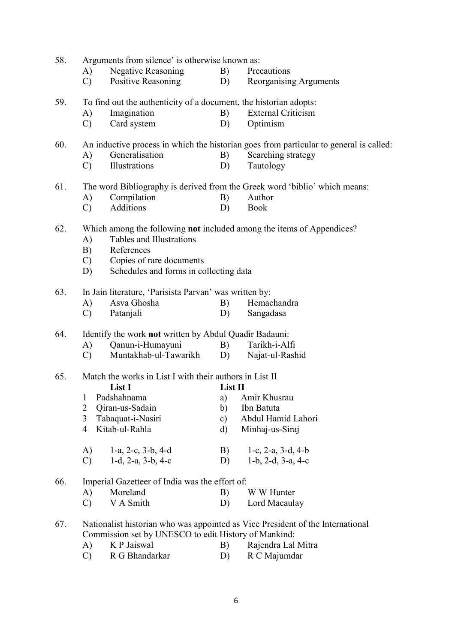| 58. |                | Arguments from silence' is otherwise known as:                    |               |                                                                                        |
|-----|----------------|-------------------------------------------------------------------|---------------|----------------------------------------------------------------------------------------|
|     | A)             | <b>Negative Reasoning</b>                                         | B)            | Precautions                                                                            |
|     | $\mathcal{C}$  | Positive Reasoning                                                | D)            | Reorganising Arguments                                                                 |
| 59. |                | To find out the authenticity of a document, the historian adopts: |               |                                                                                        |
|     | A)             | Imagination                                                       | B)            | <b>External Criticism</b>                                                              |
|     | $\mathcal{C}$  | Card system                                                       | D)            | Optimism                                                                               |
| 60. |                |                                                                   |               | An inductive process in which the historian goes from particular to general is called: |
|     | A)             | Generalisation                                                    | B)            | Searching strategy                                                                     |
|     | $\mathcal{C}$  | Illustrations                                                     | D)            | Tautology                                                                              |
| 61. |                |                                                                   |               | The word Bibliography is derived from the Greek word 'biblio' which means:             |
|     | A)             | Compilation                                                       | B)            | Author                                                                                 |
|     | $\mathcal{C}$  | Additions                                                         | D)            | <b>Book</b>                                                                            |
| 62. |                |                                                                   |               | Which among the following not included among the items of Appendices?                  |
|     | A)             | Tables and Illustrations                                          |               |                                                                                        |
|     | B)             | References                                                        |               |                                                                                        |
|     | $\mathcal{C}$  | Copies of rare documents                                          |               |                                                                                        |
|     | D)             | Schedules and forms in collecting data                            |               |                                                                                        |
| 63. |                | In Jain literature, 'Parisista Parvan' was written by:            |               |                                                                                        |
|     | A)             | Asva Ghosha                                                       | B)            | Hemachandra                                                                            |
|     | $\mathcal{C}$  | Patanjali                                                         | D)            | Sangadasa                                                                              |
| 64. |                | Identify the work not written by Abdul Quadir Badauni:            |               |                                                                                        |
|     | A)             | Qanun-i-Humayuni                                                  | B)            | Tarikh-i-Alfi                                                                          |
|     | $\mathcal{C}$  | Muntakhab-ul-Tawarikh                                             | D)            | Najat-ul-Rashid                                                                        |
| 65. |                | Match the works in List I with their authors in List II           |               |                                                                                        |
|     |                | List I                                                            | List II       |                                                                                        |
|     | 1              | Padshahnama                                                       | a)            | Amir Khusrau                                                                           |
|     | 2              | Qiran-us-Sadain                                                   | b)            | Ibn Batuta                                                                             |
|     | 3              | Tabaquat-i-Nasiri                                                 | $\mathbf{c})$ | Abdul Hamid Lahori                                                                     |
|     | $\overline{4}$ | Kitab-ul-Rahla                                                    | d)            | Minhaj-us-Siraj                                                                        |
|     | A)             | $1-a$ , $2-c$ , $3-b$ , $4-d$                                     | B)            | 1-c, $2-a$ , $3-d$ , $4-b$                                                             |
|     | $\mathcal{C}$  | $1-d$ , $2-a$ , $3-b$ , $4-c$                                     | D)            | $1-b$ , $2-d$ , $3-a$ , $4-c$                                                          |
|     |                |                                                                   |               |                                                                                        |
| 66. |                | Imperial Gazetteer of India was the effort of:                    |               |                                                                                        |
|     | A)             | Moreland                                                          | B)            | W W Hunter                                                                             |
|     | $\mathcal{C}$  | V A Smith                                                         | D)            | Lord Macaulay                                                                          |
| 67. |                |                                                                   |               | Nationalist historian who was appointed as Vice President of the International         |
|     |                | Commission set by UNESCO to edit History of Mankind:              |               |                                                                                        |
|     | A)             | K P Jaiswal                                                       | B)            | Rajendra Lal Mitra                                                                     |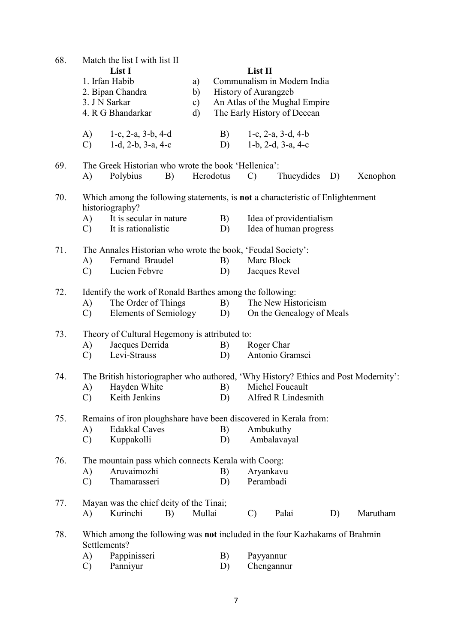| 68. |               | Match the list I with list II                                                                     |    |               |                      |               |                               |    |          |
|-----|---------------|---------------------------------------------------------------------------------------------------|----|---------------|----------------------|---------------|-------------------------------|----|----------|
|     |               | List I                                                                                            |    |               |                      | List II       |                               |    |          |
|     |               | 1. Irfan Habib                                                                                    |    | a)            |                      |               | Communalism in Modern India   |    |          |
|     |               | 2. Bipan Chandra                                                                                  |    | b)            | History of Aurangzeb |               |                               |    |          |
|     |               | 3. J N Sarkar                                                                                     |    | $\mathbf{c})$ |                      |               | An Atlas of the Mughal Empire |    |          |
|     |               | 4. R G Bhandarkar                                                                                 |    | d)            |                      |               | The Early History of Deccan   |    |          |
|     | A)            | 1-c, $2-a$ , $3-b$ , $4-d$                                                                        |    |               | B)                   |               | 1-c, $2-a$ , $3-d$ , $4-b$    |    |          |
|     | $\mathbf{C}$  | $1-d$ , $2-b$ , $3-a$ , $4-c$                                                                     |    |               | D)                   |               | $1-b$ , $2-d$ , $3-a$ , $4-c$ |    |          |
| 69. |               | The Greek Historian who wrote the book 'Hellenica':                                               |    |               |                      |               |                               |    |          |
|     | A)            | Polybius                                                                                          | B) |               | Herodotus            | $\mathcal{C}$ | Thucydides                    | D) | Xenophon |
| 70. |               | Which among the following statements, is not a characteristic of Enlightenment<br>historiography? |    |               |                      |               |                               |    |          |
|     | A)            | It is secular in nature                                                                           |    |               | B)                   |               | Idea of providentialism       |    |          |
|     | $\mathcal{C}$ | It is rationalistic                                                                               |    |               | D)                   |               | Idea of human progress        |    |          |
| 71. |               | The Annales Historian who wrote the book, 'Feudal Society':                                       |    |               |                      |               |                               |    |          |
|     | A)            | Fernand Braudel                                                                                   |    |               | B)                   | Marc Block    |                               |    |          |
|     | $\mathcal{C}$ | Lucien Febvre                                                                                     |    |               | D)                   |               | Jacques Revel                 |    |          |
| 72. |               | Identify the work of Ronald Barthes among the following:                                          |    |               |                      |               |                               |    |          |
|     | A)            | The Order of Things                                                                               |    |               | B)                   |               | The New Historicism           |    |          |
|     | $\mathbf{C}$  | <b>Elements of Semiology</b>                                                                      |    |               | D)                   |               | On the Genealogy of Meals     |    |          |
| 73. |               | Theory of Cultural Hegemony is attributed to:                                                     |    |               |                      |               |                               |    |          |
|     | A)            | Jacques Derrida                                                                                   |    |               | B)                   | Roger Char    |                               |    |          |
|     | $\mathcal{C}$ | Levi-Strauss                                                                                      |    |               | D)                   |               | Antonio Gramsci               |    |          |
| 74. |               | The British historiographer who authored, 'Why History? Ethics and Post Modernity':               |    |               |                      |               |                               |    |          |
|     | A)            | Hayden White                                                                                      |    |               | B)                   |               | Michel Foucault               |    |          |
|     | $\mathcal{C}$ | Keith Jenkins                                                                                     |    |               | D)                   |               | Alfred R Lindesmith           |    |          |
| 75. |               | Remains of iron ploughshare have been discovered in Kerala from:                                  |    |               |                      |               |                               |    |          |
|     | A)            | <b>Edakkal Caves</b>                                                                              |    |               | B)                   | Ambukuthy     |                               |    |          |
|     | $\mathcal{C}$ | Kuppakolli                                                                                        |    |               | D)                   |               | Ambalavayal                   |    |          |
| 76. |               | The mountain pass which connects Kerala with Coorg:                                               |    |               |                      |               |                               |    |          |
|     | A)            | Aruvaimozhi                                                                                       |    |               | B)                   | Aryankavu     |                               |    |          |
|     | $\mathcal{C}$ | Thamarasseri                                                                                      |    |               | D)                   | Perambadi     |                               |    |          |
| 77. |               | Mayan was the chief deity of the Tinai;                                                           |    |               |                      |               |                               |    |          |
|     | A)            | Kurinchi                                                                                          | B) | Mullai        |                      | $\mathcal{C}$ | Palai                         | D) | Marutham |
| 78. |               | Which among the following was not included in the four Kazhakams of Brahmin<br>Settlements?       |    |               |                      |               |                               |    |          |
|     | A)            | Pappinisseri                                                                                      |    |               | B)                   | Payyannur     |                               |    |          |
|     | $\mathcal{C}$ | Panniyur                                                                                          |    |               | D)                   |               | Chengannur                    |    |          |
|     |               |                                                                                                   |    |               |                      |               |                               |    |          |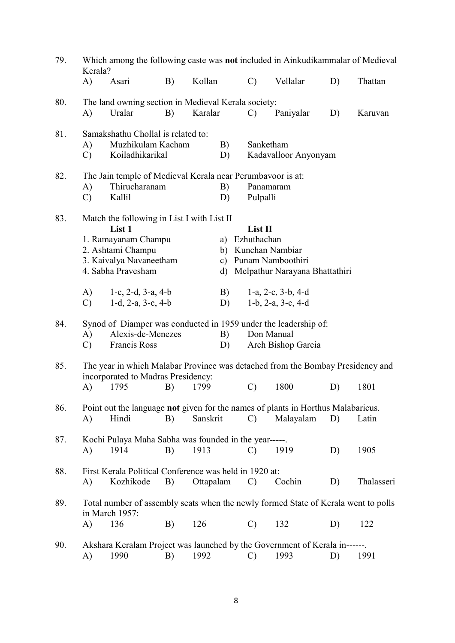| 79. | Kerala?             |                                                            |    |           |          |                | Which among the following caste was not included in Ainkudikammalar of Medieval    |    |            |
|-----|---------------------|------------------------------------------------------------|----|-----------|----------|----------------|------------------------------------------------------------------------------------|----|------------|
|     | A)                  | Asari                                                      | B) | Kollan    |          | $\mathcal{C}$  | Vellalar                                                                           | D) | Thattan    |
| 80. |                     | The land owning section in Medieval Kerala society:        |    |           |          |                |                                                                                    |    |            |
|     | A)                  | Uralar                                                     | B) | Karalar   |          | $\mathcal{C}$  | Paniyalar                                                                          | D) | Karuvan    |
| 81. |                     | Samakshathu Chollal is related to:                         |    |           |          |                |                                                                                    |    |            |
|     | A)                  | Muzhikulam Kacham<br>Koiladhikarikal                       |    |           | B)       |                | Sanketham                                                                          |    |            |
|     | $\mathbf{C}$        |                                                            |    |           | D)       |                | Kadavalloor Anyonyam                                                               |    |            |
| 82. |                     | The Jain temple of Medieval Kerala near Perumbavoor is at: |    |           |          |                |                                                                                    |    |            |
|     | A)<br>$\mathcal{C}$ | Thirucharanam<br>Kallil                                    |    |           | B)<br>D) | Pulpalli       | Panamaram                                                                          |    |            |
|     |                     |                                                            |    |           |          |                |                                                                                    |    |            |
| 83. |                     | Match the following in List I with List II<br>List 1       |    |           |          | List II        |                                                                                    |    |            |
|     |                     | 1. Ramayanam Champu                                        |    |           |          | a) Ezhuthachan |                                                                                    |    |            |
|     |                     | 2. Ashtami Champu                                          |    |           |          |                | b) Kunchan Nambiar                                                                 |    |            |
|     |                     | 3. Kaivalya Navaneetham<br>4. Sabha Pravesham              |    |           |          |                | c) Punam Namboothiri<br>d) Melpathur Narayana Bhattathiri                          |    |            |
|     |                     |                                                            |    |           |          |                |                                                                                    |    |            |
|     | A)                  | $1-c$ , $2-d$ , $3-a$ , $4-b$                              |    |           | B)       |                | $1-a$ , $2-c$ , $3-b$ , $4-d$                                                      |    |            |
|     | $\mathcal{C}$       | $1-d$ , $2-a$ , $3-c$ , $4-b$                              |    |           | D)       |                | 1-b, 2-a, 3-c, 4-d                                                                 |    |            |
| 84. |                     |                                                            |    |           |          |                | Synod of Diamper was conducted in 1959 under the leadership of:                    |    |            |
|     | A)                  | Alexis-de-Menezes                                          |    |           | B)       |                | Don Manual                                                                         |    |            |
|     | $\mathcal{C}$       | Francis Ross                                               |    |           | D)       |                | Arch Bishop Garcia                                                                 |    |            |
| 85. |                     |                                                            |    |           |          |                | The year in which Malabar Province was detached from the Bombay Presidency and     |    |            |
|     | A)                  | incorporated to Madras Presidency:<br>1795                 | B) | 1799      |          | $\mathcal{C}$  | 1800                                                                               | D) | 1801       |
|     |                     |                                                            |    |           |          |                |                                                                                    |    |            |
| 86. |                     |                                                            |    |           |          |                | Point out the language not given for the names of plants in Horthus Malabaricus.   |    |            |
|     | A)                  | Hindi                                                      | B) | Sanskrit  |          | $\mathcal{C}$  | Malayalam                                                                          | D) | Latin      |
| 87. |                     | Kochi Pulaya Maha Sabha was founded in the year-----.      |    |           |          |                |                                                                                    |    |            |
|     | A)                  | 1914                                                       | B) | 1913      |          | $\mathcal{C}$  | 1919                                                                               | D) | 1905       |
| 88. |                     | First Kerala Political Conference was held in 1920 at:     |    |           |          |                |                                                                                    |    |            |
|     | A)                  | Kozhikode                                                  | B) | Ottapalam |          | $\mathcal{C}$  | Cochin                                                                             | D) | Thalasseri |
| 89. |                     |                                                            |    |           |          |                | Total number of assembly seats when the newly formed State of Kerala went to polls |    |            |
|     |                     | in March 1957:                                             |    |           |          |                |                                                                                    |    |            |
|     | A)                  | 136                                                        | B) | 126       |          | $\mathcal{C}$  | 132                                                                                | D) | 122        |
| 90. |                     |                                                            |    |           |          |                | Akshara Keralam Project was launched by the Government of Kerala in------.         |    |            |
|     | A)                  | 1990                                                       | B) | 1992      |          | C)             | 1993                                                                               | D) | 1991       |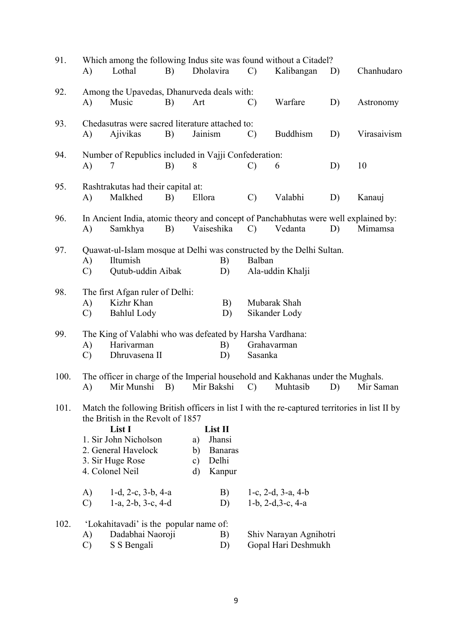| 91.  |               | Which among the following Indus site was found without a Citadel?                             |    |        |                |               |                            |    |             |
|------|---------------|-----------------------------------------------------------------------------------------------|----|--------|----------------|---------------|----------------------------|----|-------------|
|      | A)            | Lothal                                                                                        | B) |        | Dholavira      | $\mathcal{C}$ | Kalibangan                 | D) | Chanhudaro  |
| 92.  |               | Among the Upavedas, Dhanurveda deals with:                                                    |    |        |                |               |                            |    |             |
|      | A)            | Music                                                                                         | B) | Art    |                | $\mathcal{C}$ | Warfare                    | D) | Astronomy   |
| 93.  |               | Chedasutras were sacred literature attached to:                                               |    |        |                |               |                            |    |             |
|      | A)            | Ajivikas                                                                                      | B) |        | Jainism        | $\mathcal{C}$ | <b>Buddhism</b>            | D) | Virasaivism |
| 94.  |               | Number of Republics included in Vajji Confederation:                                          |    |        |                |               |                            |    |             |
|      | A)            | 7                                                                                             | B) | 8      |                | $\mathcal{C}$ | 6                          | D) | 10          |
| 95.  |               | Rashtrakutas had their capital at:                                                            |    |        |                |               |                            |    |             |
|      | A)            | Malkhed                                                                                       | B) | Ellora |                | $\mathcal{C}$ | Valabhi                    | D) | Kanauj      |
| 96.  |               | In Ancient India, atomic theory and concept of Panchabhutas were well explained by:           |    |        |                |               |                            |    |             |
|      | A)            | Samkhya                                                                                       | B) |        | Vaiseshika     | $\mathcal{C}$ | Vedanta                    | D) | Mimamsa     |
| 97.  |               | Quawat-ul-Islam mosque at Delhi was constructed by the Delhi Sultan.                          |    |        |                |               |                            |    |             |
|      | A)            | Iltumish                                                                                      |    |        | B)             | Balban        |                            |    |             |
|      | $\mathcal{C}$ | Qutub-uddin Aibak                                                                             |    |        | D)             |               | Ala-uddin Khalji           |    |             |
| 98.  |               | The first Afgan ruler of Delhi:                                                               |    |        |                |               |                            |    |             |
|      | A)            | Kizhr Khan                                                                                    |    |        | B)             |               | Mubarak Shah               |    |             |
|      | $\mathcal{C}$ | <b>Bahlul Lody</b>                                                                            |    |        | D)             |               | Sikander Lody              |    |             |
| 99.  |               | The King of Valabhi who was defeated by Harsha Vardhana:                                      |    |        |                |               |                            |    |             |
|      | A)            | Harivarman                                                                                    |    |        | B)             |               | Grahavarman                |    |             |
|      | $\mathcal{C}$ | Dhruvasena II                                                                                 |    |        | D)             | Sasanka       |                            |    |             |
| 100. |               | The officer in charge of the Imperial household and Kakhanas under the Mughals.               |    |        |                |               |                            |    |             |
|      | A)            | Mir Munshi                                                                                    | B) |        | Mir Bakshi     | $\mathcal{C}$ | Muhtasib                   | D) | Mir Saman   |
| 101. |               | Match the following British officers in list I with the re-captured territories in list II by |    |        |                |               |                            |    |             |
|      |               | the British in the Revolt of 1857<br>List I                                                   |    |        | List II        |               |                            |    |             |
|      |               | 1. Sir John Nicholson                                                                         |    | a)     | Jhansi         |               |                            |    |             |
|      |               | 2. General Havelock                                                                           |    | b)     | <b>Banaras</b> |               |                            |    |             |
|      |               | 3. Sir Huge Rose                                                                              |    | c)     | Delhi          |               |                            |    |             |
|      |               | 4. Colonel Neil                                                                               |    | d)     | Kanpur         |               |                            |    |             |
|      | A)            | 1-d, 2-c, $3-b$ , $4-a$                                                                       |    |        | B)             |               | 1-c, $2-d$ , $3-a$ , $4-b$ |    |             |
|      | $\mathcal{C}$ | $1-a$ , $2-b$ , $3-c$ , $4-d$                                                                 |    |        | D)             |               | 1-b, $2-d, 3-c, 4-a$       |    |             |
| 102. |               | 'Lokahitavadi' is the popular name of:                                                        |    |        |                |               |                            |    |             |
|      | A)            | Dadabhai Naoroji                                                                              |    |        | B)             |               | Shiv Narayan Agnihotri     |    |             |
|      | $\mathcal{C}$ | S S Bengali                                                                                   |    |        | D)             |               | Gopal Hari Deshmukh        |    |             |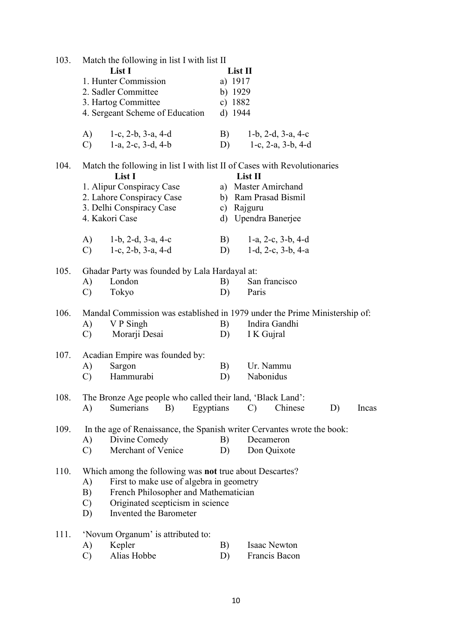| 103. | Match the following in list I with list II                 |                                                                            |
|------|------------------------------------------------------------|----------------------------------------------------------------------------|
|      | List I                                                     | List II                                                                    |
|      | 1. Hunter Commission                                       | a) 1917                                                                    |
|      | 2. Sadler Committee                                        | b) $1929$                                                                  |
|      | 3. Hartog Committee                                        | c) $1882$                                                                  |
|      | 4. Sergeant Scheme of Education                            | d) 1944                                                                    |
|      |                                                            |                                                                            |
|      | A)<br>$1-c$ , $2-b$ , $3-a$ , $4-d$                        | B)<br>$1-b$ , $2-d$ , $3-a$ , $4-c$                                        |
|      | 1-a, 2-c, $3-d$ , $4-b$<br>$\mathcal{C}$                   | D)<br>1-c, $2-a$ , $3-b$ , $4-d$                                           |
|      |                                                            |                                                                            |
| 104. |                                                            | Match the following in list I with list II of Cases with Revolutionaries   |
|      | List I                                                     | List II                                                                    |
|      | 1. Alipur Conspiracy Case                                  | a) Master Amirchand                                                        |
|      | 2. Lahore Conspiracy Case                                  | b) Ram Prasad Bismil                                                       |
|      | 3. Delhi Conspiracy Case                                   | c) Rajguru                                                                 |
|      | 4. Kakori Case                                             | d) Upendra Banerjee                                                        |
|      |                                                            |                                                                            |
|      | 1-b, 2-d, $3-a$ , $4-c$<br>A)                              | B)<br>$1-a, 2-c, 3-b, 4-d$                                                 |
|      | $1-c$ , $2-b$ , $3-a$ , $4-d$<br>$\mathbf{C}$              | 1-d, 2-c, 3-b, 4-a<br>D)                                                   |
|      |                                                            |                                                                            |
| 105. | Ghadar Party was founded by Lala Hardayal at:              |                                                                            |
|      | London<br>A)                                               | San francisco<br>B)                                                        |
|      | Tokyo<br>$\mathcal{C}$                                     | D)<br>Paris                                                                |
|      |                                                            |                                                                            |
| 106. |                                                            | Mandal Commission was established in 1979 under the Prime Ministership of: |
|      | V P Singh<br>A)                                            | Indira Gandhi<br>B)                                                        |
|      | Morarji Desai<br>$\mathcal{C}$                             | D)<br>I K Gujral                                                           |
|      |                                                            |                                                                            |
| 107. | Acadian Empire was founded by:                             |                                                                            |
|      | Sargon<br>A)                                               | Ur. Nammu<br>B)                                                            |
|      | Hammurabi<br>$\mathcal{C}$                                 | Nabonidus<br>D)                                                            |
|      |                                                            |                                                                            |
| 108. | The Bronze Age people who called their land, 'Black Land': |                                                                            |
|      | B)<br>Sumerians<br>A)                                      | Egyptians<br>Chinese<br>D)<br>$\mathcal{C}$<br>Incas                       |
|      |                                                            |                                                                            |
| 109. |                                                            | In the age of Renaissance, the Spanish writer Cervantes wrote the book:    |
|      | Divine Comedy<br>A)                                        | Decameron<br>B)                                                            |
|      | Merchant of Venice<br>$\mathcal{C}$                        | Don Quixote<br>D)                                                          |
|      |                                                            |                                                                            |
| 110. | Which among the following was not true about Descartes?    |                                                                            |
|      | First to make use of algebra in geometry<br>A)             |                                                                            |
|      | French Philosopher and Mathematician<br>B)                 |                                                                            |
|      | Originated scepticism in science<br>$\mathcal{C}$          |                                                                            |
|      | Invented the Barometer<br>D)                               |                                                                            |
|      |                                                            |                                                                            |
| 111. | 'Novum Organum' is attributed to:                          |                                                                            |
|      | Kepler<br>A)                                               | Isaac Newton<br>B)                                                         |
|      | Alias Hobbe<br>$\mathcal{C}$                               | Francis Bacon<br>D)                                                        |
|      |                                                            |                                                                            |